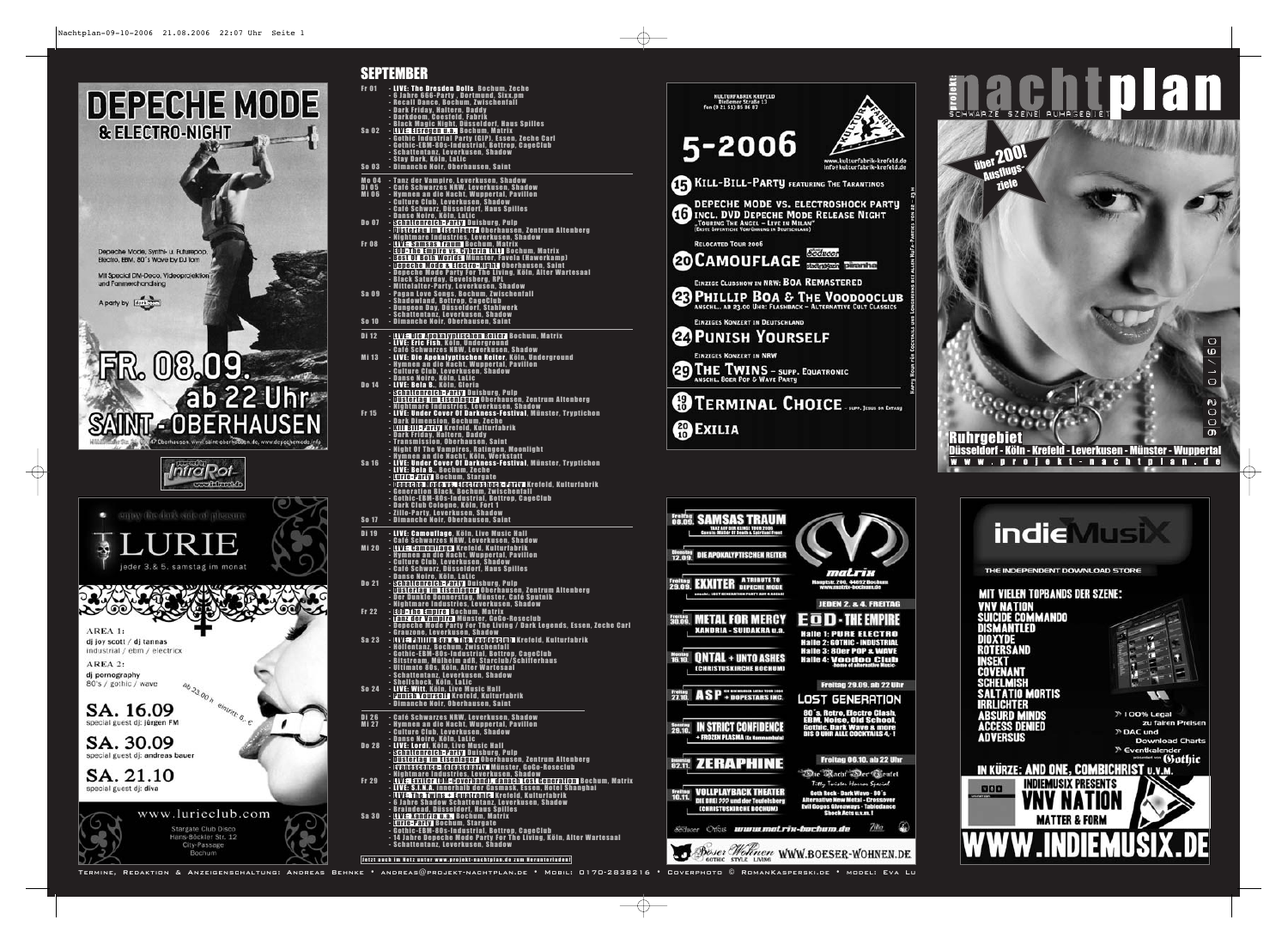

 $\oplus$ 



 $\bigoplus$ 

| Fr 01                         | - LIVE: The Dresden Dolls  Bochum, Zeche<br>- 6 Jahre 666-Party , Dortmund, Sixx.pm<br>- Recall Dance, Bochum, Zwischenfall<br>- Dark Friday, Haltern, Daddy                                                                                                                                                                                                                                                                                                       |
|-------------------------------|--------------------------------------------------------------------------------------------------------------------------------------------------------------------------------------------------------------------------------------------------------------------------------------------------------------------------------------------------------------------------------------------------------------------------------------------------------------------|
| Sa 02                         | - Darkdoom, Coesfeld, Fabrik<br>- Black Magic Night, Düsseldorf, Haus Spilles<br>- <mark>LIVE: Eisregen u.a. B</mark> ochum, Matrix                                                                                                                                                                                                                                                                                                                                |
|                               | - Gothic Industrial Party (GIP), Essen, Zeche Carl<br>- Gothic-EBM-80s-Industrial, Bottrop, CageClub<br>- Schattentanz, Leverkusen, Shadow<br>- Stay Dark, Köln, LaLic                                                                                                                                                                                                                                                                                             |
| <b>So 03</b>                  | - Dimanche Noir, Oberhausen, Saint                                                                                                                                                                                                                                                                                                                                                                                                                                 |
| Mo 04<br>Di 05<br><b>Mi06</b> | - Tanz der Vampire, Leverkusen, Shadow<br>- Café Schwarzes NRW, Leverkusen, Shadow<br>- Hymnen an die Nacht, Wuppertal, Pavillon<br>- Culture Club, Leverkusen, Shadow<br>- Café Schwarz, Düsseldorf, Haus Spilles                                                                                                                                                                                                                                                 |
| Do 07                         | - Danse Noire, Köln, Lalic<br>- Schattenreich-Party Duisburg, Pulp<br>- Düstertag im Eisenlager   Oberhausen, Zentrum Altenberg                                                                                                                                                                                                                                                                                                                                    |
| <b>Fr</b> 08                  | - Nightmare Industries, Leverkusen, Shadow<br><u>- LIVE: Samsas Traum Bochum, Matrix</u><br>- <b>EOD-The Empire vs. Cyberia (NL)</b> Bochum, Matrix<br>- Best Of Both Worlds Münster, Favela (Hawerkamp)<br><u>- Depeche Mode &amp; Electro-Night Oberhausen, Saint</u><br>- Depeche Mode Party For The Living, Köln, Alter Wartesaal<br>- Black Saturday, Gevelsberg, RPL                                                                                         |
| Sa 09                         | - Mittelalter-Party, Leverkusen, Shadow<br>- Pagan Love Songs, Bochum, Zwischenfall<br>- Shadowland, Bottrop, CageClub<br>- Dungeon Day, Düsseldorf, Stahlwerk<br>- Schattentanz, Leverkusen, Shadow                                                                                                                                                                                                                                                               |
| <b>So 10</b>                  | - Dimanche Noir, Oberhausen, Saint                                                                                                                                                                                                                                                                                                                                                                                                                                 |
| Di 12                         | -LIVE: Die Apokalyptischen Reiter Bochum, Matrix<br>- LIVE: Eric Fish, Köln, Underground                                                                                                                                                                                                                                                                                                                                                                           |
| Mi 13                         | - Café Schwarzes NRW, Leverkusen, Shadow<br><u>- LIVE: Die Apokalyptischen Reiter, Köln, Underground</u><br>- Hymnen an die Nacht, Wuppertal, Pavillon<br>- Culture Club, Leverkusen, Shadow<br>- Danse Noire, Köln, LaLic                                                                                                                                                                                                                                         |
| Do 14                         | - LIVE: Bela B., Köln, Gloria<br><u>- Schattenreich-Party Duisburg, Pulp</u><br>- Düstertag im Eisenlager Oberhausen, Zentrum Altenberg                                                                                                                                                                                                                                                                                                                            |
| Fr 15                         | - Nightmare Industries, Leverkusen, Shadow<br>- LIVE: Under Cover Of Darkness-Festival, Münster, Tryptichon<br>- Dark Dimension, Bochum, Zeche<br><u>- Kill Bill-Party Krefeld, Kulturfabrik</u><br>- Dark Friday, Haltern, Daddy<br>- Transmission, Oberhausen, Saint                                                                                                                                                                                             |
| <b>Sa 16</b>                  | - Night Of The Vampires, Ratingen, Moonlight<br>- <u>Hym</u> nen an die Nacht, Köln, We <u>r</u> kstatt<br>- LIVE: Under Cover Of Darkness-Festival, Münster, Tryptichon<br>- LIVE: Bela B., Bochum, Zeche<br>- <mark>Lurie-Party</mark> Bochum, Stargate<br><u>- Depeche Mode vs. Electroshock-Party Mrefeld, Kulturfabrik</u><br>- Generation Black, Bochum, Zwischenfall<br>- Gothic-EBM-80s-Industrial, Bottrop, CageClub<br>- Dark Club Cologne, Köln, Fort 1 |
| <b>So 17</b>                  | - Zillo-Party, Leverkusen, Shadow<br>- Dimanche Noir, Oberhausen, Saint                                                                                                                                                                                                                                                                                                                                                                                            |
| Di 19                         | - LIVE: Camouflage, Köln, Live Music Hall                                                                                                                                                                                                                                                                                                                                                                                                                          |
| Mi 20                         | - Café Schwarzes NRW, Leverkusen, Shadow<br>- <b>LIVE: Camouflage Krefeld, Kulturfabrik</b><br>- Hymnen an die Nacht, Wuppertal, Pavillon<br>- Culture Club, Leverkusen, Shadow<br>- Café Schwarz, Düsseldorf, Haus Spilles                                                                                                                                                                                                                                        |
| Do 21                         | - Danse Noire, Köln, LaLic<br>- Schattenreich-Party Duisburg, Pulp<br>- Düstertag im Eisenlager Oberhausen, Zentrum Altenberg<br>- Der Dunkle Donnerstag, Münster, Café Sputnik<br>- Nightmare Industries, Leverkusen, Shadow                                                                                                                                                                                                                                      |
| <b>Fr 22</b>                  | - EOD-The Empire Bochum, Matrix<br>- L <mark>'anz der Vampire-</mark> Münster, GoGo-Roseclub<br>- Depeche Mode Party For The Living / Dark Legends, Essen, Zeche Carl<br>- Grauzone, Leverkusen, Shadow                                                                                                                                                                                                                                                            |
| Sa 23                         | - LIVE: Phillip Boa & The Voodooclub Krefeld, Kulturfabrik<br>- Höllentanz, Bochum, Zwischenfall<br>- Gothic-EBM-80s-Industrial, Bottrop, CageClub<br>- Bitstream, Mülheim adR, Starclub/Schifferhaus<br>- Ultimate 80s, Köln, Alter Wartesaal<br>- Schattentanz, Leverkusen, Shadow                                                                                                                                                                               |
| <b>So 24</b>                  | - Sheilshock, Köln, Lalic<br>- LIVE: Witt, Köln, Live Music Hall<br>- Punish Yourself Krefeld, Kulturfabrik<br>- Dimanche Noir, Oberhausen, Saint                                                                                                                                                                                                                                                                                                                  |
| Di 26<br><b>Mi27</b>          | - Café Schwarzes NRW, Leverkusen, Shadow<br>- Hymnen an die Nacht, Wuppertal, Pavillon<br>- Culture Club, Leverkusen, Shadow                                                                                                                                                                                                                                                                                                                                       |
| Do 28                         | - Danse Noire, Köln, LaLic<br>- LIVE: Lordi, Köln, Live Music Hall<br>- <mark>Schattenreich-Party</mark> Duisburg, Pulp<br>- Düstertag im Eisenlager Oberhausen, Zentrum Altenberg<br>- Evanescence-Releaseparty Münster, GoGo-Roseclub                                                                                                                                                                                                                            |
| <b>Fr 29</b>                  | - Nightmare Industries, Leverkusen, Shadow<br>-LIVE; Exxiter (DM-Coverband), danach Lost Generation Bochum, Matrix<br>- LIVE: S.I.N.A. innerhalb der Gasmask, Essen, Hotel Shanghai<br>- LIVE: The Twins + Equatronic Krefeld, Kulturfabrik                                                                                                                                                                                                                        |
| <b>Sa 30</b>                  | - 6 Jahre Shadow Schattentanz, Leverkusen, Shadow<br>- Braindead, Düsseldorf, Haus Spilles<br>- <mark>LIVE: Xandria u.a. B</mark> ochum, Matrix<br>- <b>Lurie-Party Bochum, Stargate</b><br>- Gothic-EBM-80s-Industrial, Bottrop, CageClub<br>- 14 Jahre Depeche Mode Party For The Living, Köln, Alter Wartesaal<br>- Schattentanz, Leverkusen, Shadow                                                                                                            |
|                               | Jetzt auch im Netz unter www.projekt-nachtplan.de zum Herunterladen!                                                                                                                                                                                                                                                                                                                                                                                               |

**SEPTEMBER**